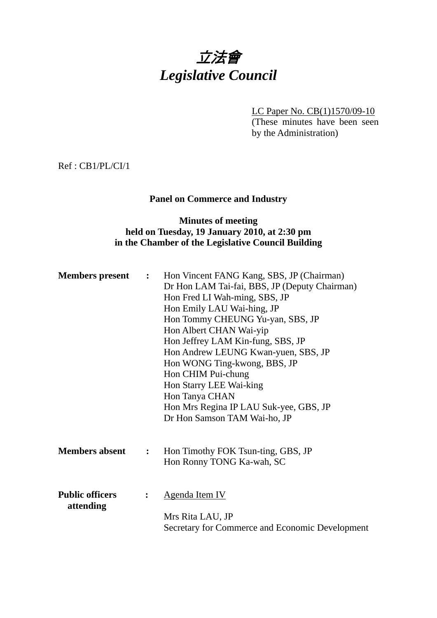# 立法會 *Legislative Council*

LC Paper No. CB(1)1570/09-10 (These minutes have been seen by the Administration)

Ref : CB1/PL/CI/1

#### **Panel on Commerce and Industry**

## **Minutes of meeting held on Tuesday, 19 January 2010, at 2:30 pm in the Chamber of the Legislative Council Building**

| <b>Members</b> present              | $\ddot{\cdot}$   | Hon Vincent FANG Kang, SBS, JP (Chairman)<br>Dr Hon LAM Tai-fai, BBS, JP (Deputy Chairman)<br>Hon Fred LI Wah-ming, SBS, JP<br>Hon Emily LAU Wai-hing, JP<br>Hon Tommy CHEUNG Yu-yan, SBS, JP<br>Hon Albert CHAN Wai-yip<br>Hon Jeffrey LAM Kin-fung, SBS, JP<br>Hon Andrew LEUNG Kwan-yuen, SBS, JP<br>Hon WONG Ting-kwong, BBS, JP<br>Hon CHIM Pui-chung<br>Hon Starry LEE Wai-king<br>Hon Tanya CHAN<br>Hon Mrs Regina IP LAU Suk-yee, GBS, JP |
|-------------------------------------|------------------|---------------------------------------------------------------------------------------------------------------------------------------------------------------------------------------------------------------------------------------------------------------------------------------------------------------------------------------------------------------------------------------------------------------------------------------------------|
| <b>Members absent</b>               | $\ddot{\cdot}$   | Dr Hon Samson TAM Wai-ho, JP<br>Hon Timothy FOK Tsun-ting, GBS, JP<br>Hon Ronny TONG Ka-wah, SC                                                                                                                                                                                                                                                                                                                                                   |
| <b>Public officers</b><br>attending | $\ddot{\bullet}$ | <u>Agenda Item IV</u><br>Mrs Rita LAU, JP<br>Secretary for Commerce and Economic Development                                                                                                                                                                                                                                                                                                                                                      |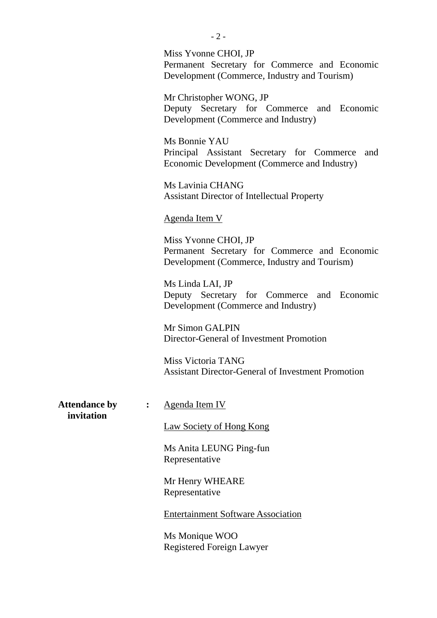|                                    | $-2-$                                                                                                                 |
|------------------------------------|-----------------------------------------------------------------------------------------------------------------------|
|                                    | Miss Yvonne CHOI, JP<br>Permanent Secretary for Commerce and Economic<br>Development (Commerce, Industry and Tourism) |
|                                    | Mr Christopher WONG, JP<br>Deputy Secretary for Commerce and Economic<br>Development (Commerce and Industry)          |
|                                    | Ms Bonnie YAU<br>Principal Assistant Secretary for Commerce<br>and<br>Economic Development (Commerce and Industry)    |
|                                    | Ms Lavinia CHANG<br><b>Assistant Director of Intellectual Property</b>                                                |
|                                    | <u>Agenda Item V</u>                                                                                                  |
|                                    | Miss Yvonne CHOI, JP<br>Permanent Secretary for Commerce and Economic<br>Development (Commerce, Industry and Tourism) |
|                                    | Ms Linda LAI, JP<br>Deputy Secretary for Commerce and Economic<br>Development (Commerce and Industry)                 |
|                                    | Mr Simon GALPIN<br>Director-General of Investment Promotion                                                           |
|                                    | Miss Victoria TANG<br><b>Assistant Director-General of Investment Promotion</b>                                       |
| <b>Attendance by</b><br>invitation | Agenda Item IV                                                                                                        |
|                                    | <b>Law Society of Hong Kong</b>                                                                                       |
|                                    | Ms Anita LEUNG Ping-fun<br>Representative                                                                             |
|                                    | Mr Henry WHEARE<br>Representative                                                                                     |
|                                    | <b>Entertainment Software Association</b>                                                                             |
|                                    | $M_{\odot}$ : $M_{\odot}$                                                                                             |

Ms Monique WOO Registered Foreign Lawyer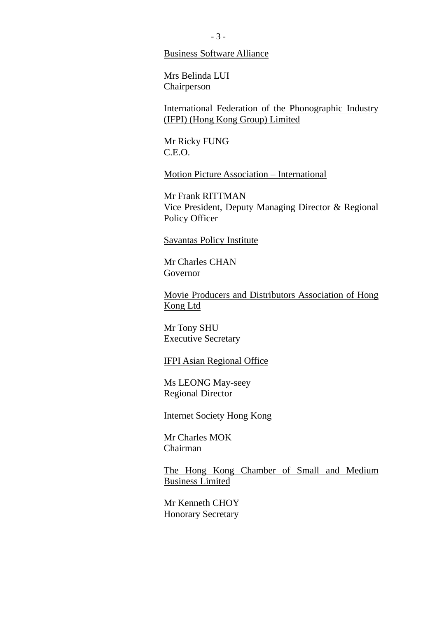Business Software Alliance

Mrs Belinda LUI Chairperson

International Federation of the Phonographic Industry (IFPI) (Hong Kong Group) Limited

Mr Ricky FUNG C.E.O.

Motion Picture Association – International

Mr Frank RITTMAN Vice President, Deputy Managing Director & Regional Policy Officer

Savantas Policy Institute

Mr Charles CHAN Governor

Movie Producers and Distributors Association of Hong Kong Ltd

Mr Tony SHU Executive Secretary

#### IFPI Asian Regional Office

Ms LEONG May-seey Regional Director

Internet Society Hong Kong

Mr Charles MOK Chairman

The Hong Kong Chamber of Small and Medium Business Limited

Mr Kenneth CHOY Honorary Secretary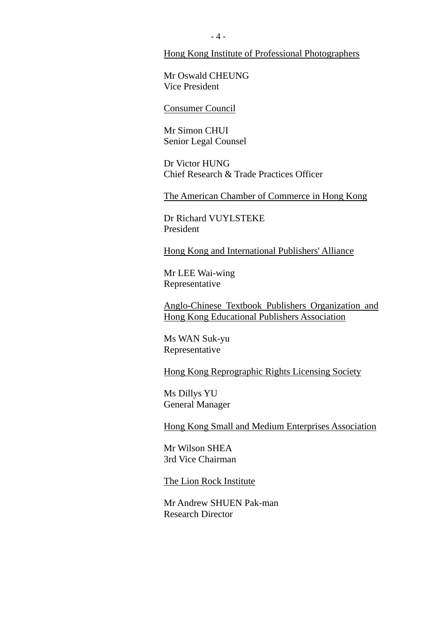Hong Kong Institute of Professional Photographers

Mr Oswald CHEUNG Vice President

Consumer Council

Mr Simon CHUI Senior Legal Counsel

Dr Victor HUNG Chief Research & Trade Practices Officer

The American Chamber of Commerce in Hong Kong

Dr Richard VUYLSTEKE President

Hong Kong and International Publishers' Alliance

Mr LEE Wai-wing Representative

Anglo-Chinese Textbook Publishers Organization and Hong Kong Educational Publishers Association

Ms WAN Suk-yu Representative

Hong Kong Reprographic Rights Licensing Society

Ms Dillys YU General Manager

Hong Kong Small and Medium Enterprises Association

Mr Wilson SHEA 3rd Vice Chairman

The Lion Rock Institute

Mr Andrew SHUEN Pak-man Research Director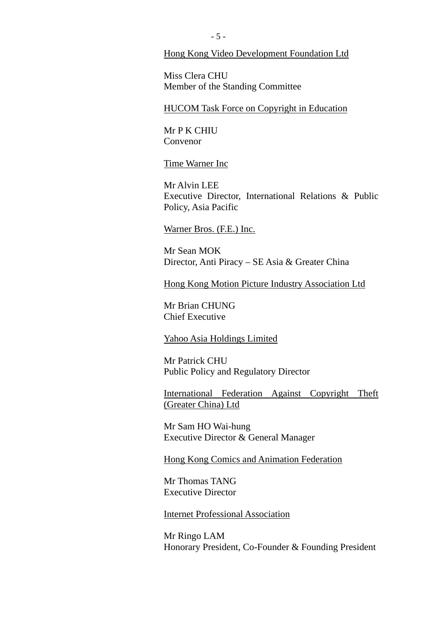Hong Kong Video Development Foundation Ltd

Miss Clera CHU Member of the Standing Committee

## HUCOM Task Force on Copyright in Education

Mr P K CHIU Convenor

Time Warner Inc

Mr Alvin LEE Executive Director, International Relations & Public Policy, Asia Pacific

#### Warner Bros. (F.E.) Inc.

Mr Sean MOK Director, Anti Piracy – SE Asia & Greater China

Hong Kong Motion Picture Industry Association Ltd

Mr Brian CHUNG Chief Executive

#### Yahoo Asia Holdings Limited

Mr Patrick CHU Public Policy and Regulatory Director

International Federation Against Copyright Theft (Greater China) Ltd

Mr Sam HO Wai-hung Executive Director & General Manager

Hong Kong Comics and Animation Federation

Mr Thomas TANG Executive Director

Internet Professional Association

Mr Ringo LAM Honorary President, Co-Founder & Founding President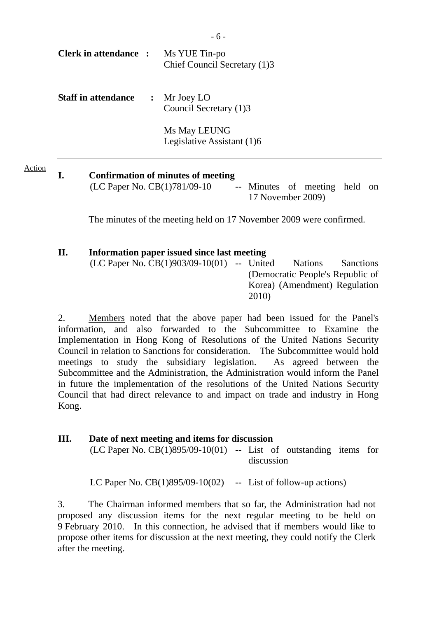| <b>Clerk in attendance :</b> | Ms YUE Tin-po<br>Chief Council Secretary (1)3 |
|------------------------------|-----------------------------------------------|
| <b>Staff in attendance</b>   | $\colon$ Mr Joey LO<br>Council Secretary (1)3 |
|                              | Ms May LEUNG<br>Legislative Assistant (1)6    |
|                              |                                               |

**I. Confirmation of minutes of meeting**   $(LC$  Paper No.  $CB(1)781/09-10$  -- Minutes of meeting held on 17 November 2009)

The minutes of the meeting held on 17 November 2009 were confirmed.

#### **II. Information paper issued since last meeting**

Action

(LC Paper No. CB(1)903/09-10(01) -- United Nations Sanctions (Democratic People's Republic of Korea) (Amendment) Regulation 2010)

2. Members noted that the above paper had been issued for the Panel's information, and also forwarded to the Subcommittee to Examine the Implementation in Hong Kong of Resolutions of the United Nations Security Council in relation to Sanctions for consideration. The Subcommittee would hold meetings to study the subsidiary legislation. As agreed between the Subcommittee and the Administration, the Administration would inform the Panel in future the implementation of the resolutions of the United Nations Security Council that had direct relevance to and impact on trade and industry in Hong Kong.

#### **III. Date of next meeting and items for discussion**

 $(LC$  Paper No.  $CB(1)895/09-10(01)$  -- List of outstanding items for discussion

LC Paper No.  $CB(1)895/09-10(02)$  -- List of follow-up actions)

3. The Chairman informed members that so far, the Administration had not proposed any discussion items for the next regular meeting to be held on 9 February 2010. In this connection, he advised that if members would like to propose other items for discussion at the next meeting, they could notify the Clerk after the meeting.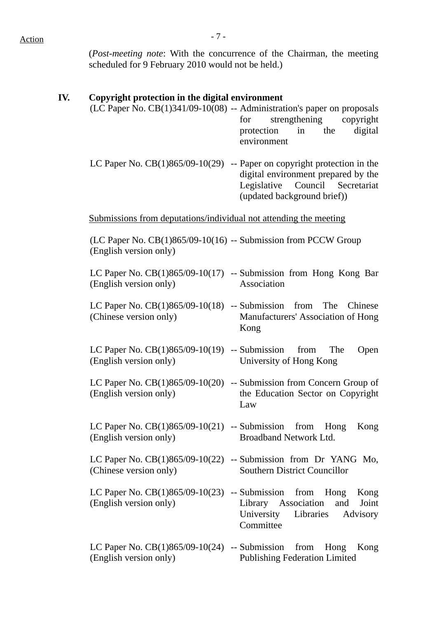| ( <i>Post-meeting note</i> : With the concurrence of the Chairman, the meeting |  |  |  |  |  |
|--------------------------------------------------------------------------------|--|--|--|--|--|
| scheduled for 9 February 2010 would not be held.)                              |  |  |  |  |  |

| Copyright protection in the digital environment                                | (LC Paper No. CB(1)341/09-10(08) -- Administration's paper on proposals<br>for<br>strengthening<br>copyright<br>protection in the<br>digital<br>environment                        |
|--------------------------------------------------------------------------------|------------------------------------------------------------------------------------------------------------------------------------------------------------------------------------|
|                                                                                | LC Paper No. $CB(1)865/09-10(29)$ -- Paper on copyright protection in the<br>digital environment prepared by the<br>Legislative Council Secretariat<br>(updated background brief)) |
| Submissions from deputations/individual not attending the meeting              |                                                                                                                                                                                    |
| (English version only)                                                         | (LC Paper No. $CB(1)865/09-10(16)$ -- Submission from PCCW Group                                                                                                                   |
| (English version only)                                                         | LC Paper No. $CB(1)865/09-10(17)$ -- Submission from Hong Kong Bar<br>Association                                                                                                  |
| (Chinese version only)                                                         | LC Paper No. $CB(1)865/09-10(18)$ -- Submission from The Chinese<br>Manufacturers' Association of Hong<br>Kong                                                                     |
| LC Paper No. $CB(1)865/09-10(19)$ -- Submission from<br>(English version only) | The<br>Open<br>University of Hong Kong                                                                                                                                             |
| (English version only)                                                         | LC Paper No. $CB(1)865/09-10(20)$ -- Submission from Concern Group of<br>the Education Sector on Copyright<br>Law                                                                  |
| (English version only)                                                         | LC Paper No. $CB(1)865/09-10(21)$ -- Submission from Hong Kong<br>Broadband Network Ltd.                                                                                           |
| (Chinese version only)                                                         | LC Paper No. $CB(1)865/09-10(22)$ -- Submission from Dr YANG Mo,<br><b>Southern District Councillor</b>                                                                            |
| (English version only)                                                         | LC Paper No. $CB(1)865/09-10(23)$ -- Submission from Hong Kong<br>Library Association<br>and<br>Joint<br>University Libraries Advisory<br>Committee                                |
| (English version only)                                                         | LC Paper No. $CB(1)865/09-10(24)$ -- Submission from Hong Kong<br><b>Publishing Federation Limited</b>                                                                             |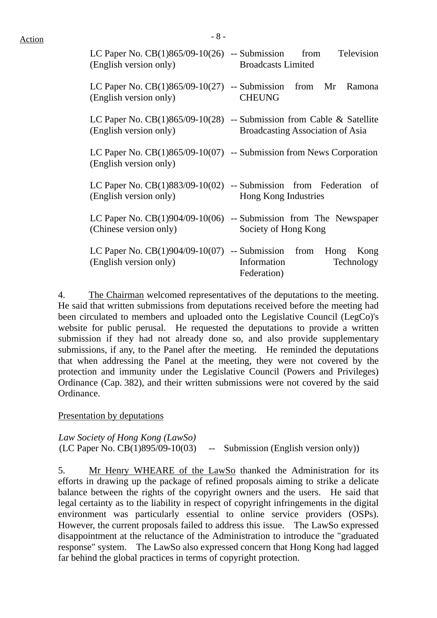| (English version only)                                                         | LC Paper No. $CB(1)865/09-10(26)$ -- Submission from Television<br><b>Broadcasts Limited</b>                      |
|--------------------------------------------------------------------------------|-------------------------------------------------------------------------------------------------------------------|
| (English version only)                                                         | LC Paper No. $CB(1)865/09-10(27)$ -- Submission from Mr Ramona<br><b>CHEUNG</b>                                   |
| (English version only)                                                         | LC Paper No. $CB(1)865/09-10(28)$ -- Submission from Cable & Satellite<br><b>Broadcasting Association of Asia</b> |
| (English version only)                                                         | LC Paper No. $CB(1)865/09-10(07)$ -- Submission from News Corporation                                             |
| (English version only)                                                         | LC Paper No. $CB(1)883/09-10(02)$ -- Submission from Federation of<br>Hong Kong Industries                        |
| (Chinese version only)                                                         | LC Paper No. $CB(1)904/09-10(06)$ -- Submission from The Newspaper<br>Society of Hong Kong                        |
| LC Paper No. $CB(1)904/09-10(07)$ -- Submission from<br>(English version only) | Hong<br>Kong<br>Information<br>Technology<br>Federation)                                                          |

4. The Chairman welcomed representatives of the deputations to the meeting. He said that written submissions from deputations received before the meeting had been circulated to members and uploaded onto the Legislative Council (LegCo)'s website for public perusal. He requested the deputations to provide a written submission if they had not already done so, and also provide supplementary submissions, if any, to the Panel after the meeting. He reminded the deputations that when addressing the Panel at the meeting, they were not covered by the protection and immunity under the Legislative Council (Powers and Privileges) Ordinance (Cap. 382), and their written submissions were not covered by the said Ordinance.

Presentation by deputations

*Law Society of Hong Kong (LawSo)*   $(LC$  Paper No.  $CB(1)895/09-10(03)$  -- Submission (English version only))

5. Mr Henry WHEARE of the LawSo thanked the Administration for its efforts in drawing up the package of refined proposals aiming to strike a delicate balance between the rights of the copyright owners and the users. He said that legal certainty as to the liability in respect of copyright infringements in the digital environment was particularly essential to online service providers (OSPs). However, the current proposals failed to address this issue. The LawSo expressed disappointment at the reluctance of the Administration to introduce the "graduated response" system. The LawSo also expressed concern that Hong Kong had lagged far behind the global practices in terms of copyright protection.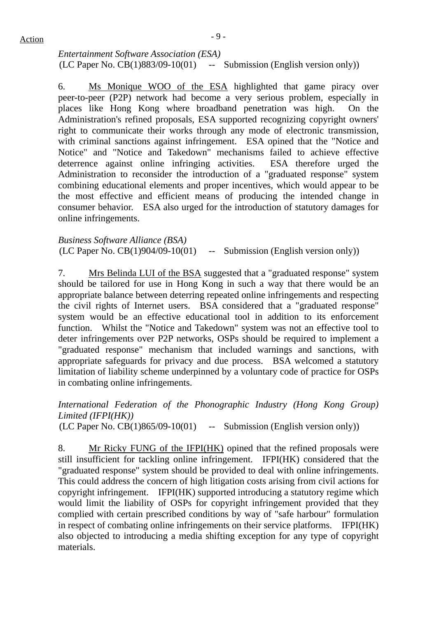# $Action$

*Entertainment Software Association (ESA)*   $(LC$  Paper No.  $CB(1)883/09-10(01)$  -- Submission (English version only))

6. Ms Monique WOO of the ESA highlighted that game piracy over peer-to-peer (P2P) network had become a very serious problem, especially in places like Hong Kong where broadband penetration was high. On the Administration's refined proposals, ESA supported recognizing copyright owners' right to communicate their works through any mode of electronic transmission, with criminal sanctions against infringement. ESA opined that the "Notice and Notice" and "Notice and Takedown" mechanisms failed to achieve effective deterrence against online infringing activities. ESA therefore urged the Administration to reconsider the introduction of a "graduated response" system combining educational elements and proper incentives, which would appear to be the most effective and efficient means of producing the intended change in consumer behavior. ESA also urged for the introduction of statutory damages for online infringements.

*Business Software Alliance (BSA)*   $(LC$  Paper No.  $CB(1)904/09-10(01)$  -- Submission (English version only))

7. Mrs Belinda LUI of the BSA suggested that a "graduated response" system should be tailored for use in Hong Kong in such a way that there would be an appropriate balance between deterring repeated online infringements and respecting the civil rights of Internet users. BSA considered that a "graduated response" system would be an effective educational tool in addition to its enforcement function. Whilst the "Notice and Takedown" system was not an effective tool to deter infringements over P2P networks, OSPs should be required to implement a "graduated response" mechanism that included warnings and sanctions, with appropriate safeguards for privacy and due process. BSA welcomed a statutory limitation of liability scheme underpinned by a voluntary code of practice for OSPs in combating online infringements.

*International Federation of the Phonographic Industry (Hong Kong Group) Limited (IFPI(HK))*   $(LC$  Paper No.  $CB(1)865/09-10(01)$  -- Submission (English version only))

8. Mr Ricky FUNG of the IFPI(HK) opined that the refined proposals were still insufficient for tackling online infringement. IFPI(HK) considered that the "graduated response" system should be provided to deal with online infringements. This could address the concern of high litigation costs arising from civil actions for copyright infringement. IFPI(HK) supported introducing a statutory regime which would limit the liability of OSPs for copyright infringement provided that they complied with certain prescribed conditions by way of "safe harbour" formulation in respect of combating online infringements on their service platforms. IFPI(HK) also objected to introducing a media shifting exception for any type of copyright materials.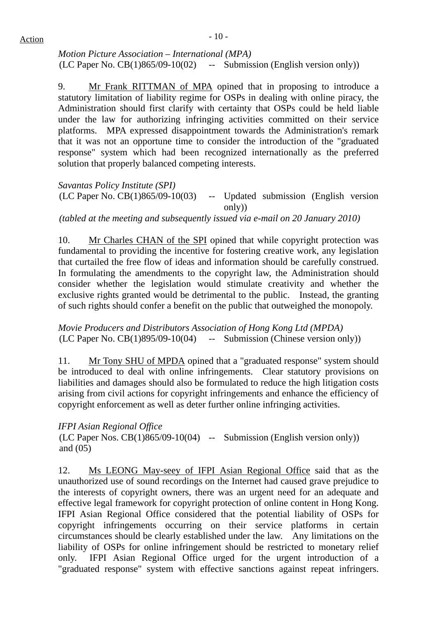*Motion Picture Association – International (MPA)*   $(LC$  Paper No.  $CB(1)865/09-10(02)$  -- Submission (English version only))

9. Mr Frank RITTMAN of MPA opined that in proposing to introduce a statutory limitation of liability regime for OSPs in dealing with online piracy, the Administration should first clarify with certainty that OSPs could be held liable under the law for authorizing infringing activities committed on their service platforms. MPA expressed disappointment towards the Administration's remark that it was not an opportune time to consider the introduction of the "graduated response" system which had been recognized internationally as the preferred solution that properly balanced competing interests.

*Savantas Policy Institute (SPI)*  (LC Paper No. CB(1)865/09-10(03) -- Updated submission (English version only))

*(tabled at the meeting and subsequently issued via e-mail on 20 January 2010)*

10. Mr Charles CHAN of the SPI opined that while copyright protection was fundamental to providing the incentive for fostering creative work, any legislation that curtailed the free flow of ideas and information should be carefully construed. In formulating the amendments to the copyright law, the Administration should consider whether the legislation would stimulate creativity and whether the exclusive rights granted would be detrimental to the public. Instead, the granting of such rights should confer a benefit on the public that outweighed the monopoly.

*Movie Producers and Distributors Association of Hong Kong Ltd (MPDA)*   $(LC$  Paper No.  $CB(1)895/09-10(04)$  -- Submission (Chinese version only))

11. Mr Tony SHU of MPDA opined that a "graduated response" system should be introduced to deal with online infringements. Clear statutory provisions on liabilities and damages should also be formulated to reduce the high litigation costs arising from civil actions for copyright infringements and enhance the efficiency of copyright enforcement as well as deter further online infringing activities.

*IFPI Asian Regional Office* 

(LC Paper Nos. CB(1)865/09-10(04) -- Submission (English version only)) and (05)

12. Ms LEONG May-seey of IFPI Asian Regional Office said that as the unauthorized use of sound recordings on the Internet had caused grave prejudice to the interests of copyright owners, there was an urgent need for an adequate and effective legal framework for copyright protection of online content in Hong Kong. IFPI Asian Regional Office considered that the potential liability of OSPs for copyright infringements occurring on their service platforms in certain circumstances should be clearly established under the law. Any limitations on the liability of OSPs for online infringement should be restricted to monetary relief only. IFPI Asian Regional Office urged for the urgent introduction of a "graduated response" system with effective sanctions against repeat infringers.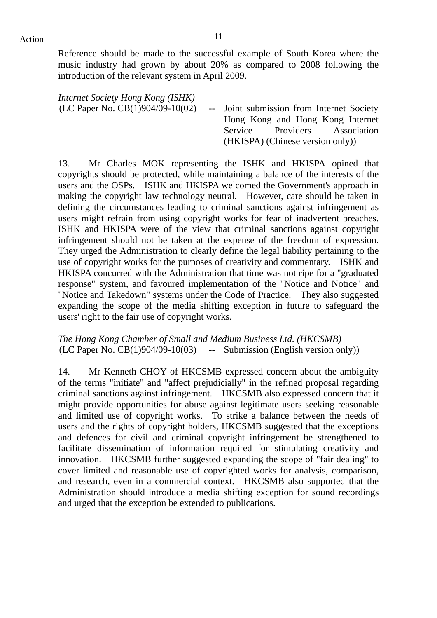Reference should be made to the successful example of South Korea where the music industry had grown by about 20% as compared to 2008 following the introduction of the relevant system in April 2009.

*Internet Society Hong Kong (ISHK)*   $(LC$  Paper No.  $CB(1)904/09-10(02)$  -- Joint submission from Internet Society Hong Kong and Hong Kong Internet Service Providers Association (HKISPA) (Chinese version only))

13. Mr Charles MOK representing the ISHK and HKISPA opined that copyrights should be protected, while maintaining a balance of the interests of the users and the OSPs. ISHK and HKISPA welcomed the Government's approach in making the copyright law technology neutral. However, care should be taken in defining the circumstances leading to criminal sanctions against infringement as users might refrain from using copyright works for fear of inadvertent breaches. ISHK and HKISPA were of the view that criminal sanctions against copyright infringement should not be taken at the expense of the freedom of expression. They urged the Administration to clearly define the legal liability pertaining to the use of copyright works for the purposes of creativity and commentary. ISHK and HKISPA concurred with the Administration that time was not ripe for a "graduated response" system, and favoured implementation of the "Notice and Notice" and "Notice and Takedown" systems under the Code of Practice. They also suggested expanding the scope of the media shifting exception in future to safeguard the users' right to the fair use of copyright works.

*The Hong Kong Chamber of Small and Medium Business Ltd. (HKCSMB)*   $(LC$  Paper No.  $CB(1)904/09-10(03)$  -- Submission (English version only))

14. Mr Kenneth CHOY of HKCSMB expressed concern about the ambiguity of the terms "initiate" and "affect prejudicially" in the refined proposal regarding criminal sanctions against infringement. HKCSMB also expressed concern that it might provide opportunities for abuse against legitimate users seeking reasonable and limited use of copyright works. To strike a balance between the needs of users and the rights of copyright holders, HKCSMB suggested that the exceptions and defences for civil and criminal copyright infringement be strengthened to facilitate dissemination of information required for stimulating creativity and innovation. HKCSMB further suggested expanding the scope of "fair dealing" to cover limited and reasonable use of copyrighted works for analysis, comparison, and research, even in a commercial context. HKCSMB also supported that the Administration should introduce a media shifting exception for sound recordings and urged that the exception be extended to publications.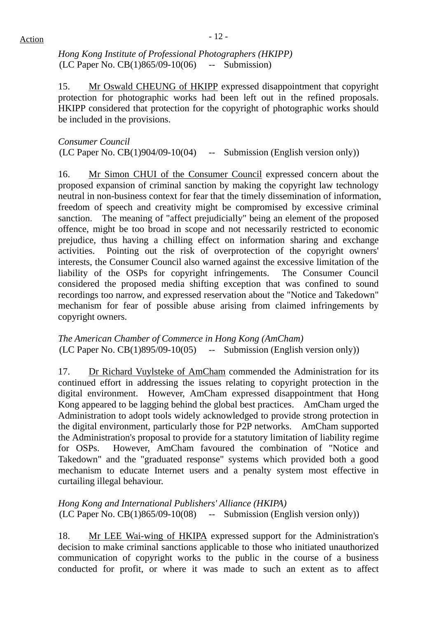*Hong Kong Institute of Professional Photographers (HKIPP)*  (LC Paper No. CB(1)865/09-10(06) -- Submission)

15. Mr Oswald CHEUNG of HKIPP expressed disappointment that copyright protection for photographic works had been left out in the refined proposals. HKIPP considered that protection for the copyright of photographic works should be included in the provisions.

*Consumer Council*  (LC Paper No. CB(1)904/09-10(04) -- Submission (English version only))

16. Mr Simon CHUI of the Consumer Council expressed concern about the proposed expansion of criminal sanction by making the copyright law technology neutral in non-business context for fear that the timely dissemination of information, freedom of speech and creativity might be compromised by excessive criminal sanction. The meaning of "affect prejudicially" being an element of the proposed offence, might be too broad in scope and not necessarily restricted to economic prejudice, thus having a chilling effect on information sharing and exchange activities. Pointing out the risk of overprotection of the copyright owners' interests, the Consumer Council also warned against the excessive limitation of the liability of the OSPs for copyright infringements. The Consumer Council considered the proposed media shifting exception that was confined to sound recordings too narrow, and expressed reservation about the "Notice and Takedown" mechanism for fear of possible abuse arising from claimed infringements by copyright owners.

*The American Chamber of Commerce in Hong Kong (AmCham)*   $(LC$  Paper No.  $CB(1)895/09-10(05)$  -- Submission (English version only))

17. Dr Richard Vuylsteke of AmCham commended the Administration for its continued effort in addressing the issues relating to copyright protection in the digital environment. However, AmCham expressed disappointment that Hong Kong appeared to be lagging behind the global best practices. AmCham urged the Administration to adopt tools widely acknowledged to provide strong protection in the digital environment, particularly those for P2P networks. AmCham supported the Administration's proposal to provide for a statutory limitation of liability regime for OSPs. However, AmCham favoured the combination of "Notice and Takedown" and the "graduated response" systems which provided both a good mechanism to educate Internet users and a penalty system most effective in curtailing illegal behaviour.

# *Hong Kong and International Publishers' Alliance (HKIPA)*   $(LC$  Paper No.  $CB(1)865/09-10(08)$  -- Submission (English version only))

18. Mr LEE Wai-wing of HKIPA expressed support for the Administration's decision to make criminal sanctions applicable to those who initiated unauthorized communication of copyright works to the public in the course of a business conducted for profit, or where it was made to such an extent as to affect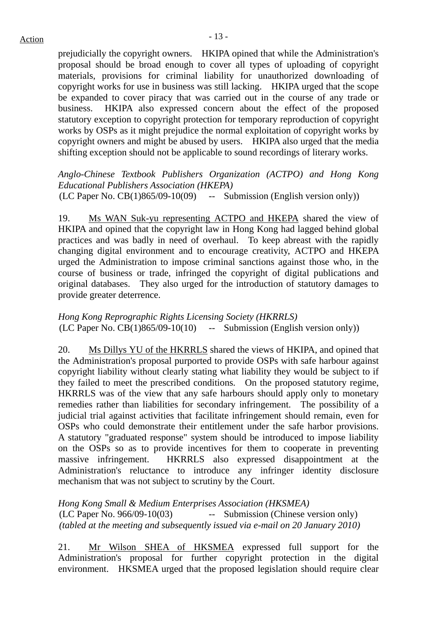prejudicially the copyright owners. HKIPA opined that while the Administration's proposal should be broad enough to cover all types of uploading of copyright materials, provisions for criminal liability for unauthorized downloading of copyright works for use in business was still lacking. HKIPA urged that the scope be expanded to cover piracy that was carried out in the course of any trade or business. HKIPA also expressed concern about the effect of the proposed statutory exception to copyright protection for temporary reproduction of copyright works by OSPs as it might prejudice the normal exploitation of copyright works by copyright owners and might be abused by users. HKIPA also urged that the media shifting exception should not be applicable to sound recordings of literary works.

*Anglo-Chinese Textbook Publishers Organization (ACTPO) and Hong Kong Educational Publishers Association (HKEPA)*   $(LC$  Paper No.  $CB(1)865/09-10(09)$  -- Submission (English version only))

19. Ms WAN Suk-yu representing ACTPO and HKEPA shared the view of HKIPA and opined that the copyright law in Hong Kong had lagged behind global practices and was badly in need of overhaul. To keep abreast with the rapidly changing digital environment and to encourage creativity, ACTPO and HKEPA urged the Administration to impose criminal sanctions against those who, in the course of business or trade, infringed the copyright of digital publications and original databases. They also urged for the introduction of statutory damages to provide greater deterrence.

*Hong Kong Reprographic Rights Licensing Society (HKRRLS)*   $(LC$  Paper No.  $CB(1)865/09-10(10)$  -- Submission (English version only))

20. Ms Dillys YU of the HKRRLS shared the views of HKIPA, and opined that the Administration's proposal purported to provide OSPs with safe harbour against copyright liability without clearly stating what liability they would be subject to if they failed to meet the prescribed conditions. On the proposed statutory regime, HKRRLS was of the view that any safe harbours should apply only to monetary remedies rather than liabilities for secondary infringement. The possibility of a judicial trial against activities that facilitate infringement should remain, even for OSPs who could demonstrate their entitlement under the safe harbor provisions. A statutory "graduated response" system should be introduced to impose liability on the OSPs so as to provide incentives for them to cooperate in preventing massive infringement. HKRRLS also expressed disappointment at the Administration's reluctance to introduce any infringer identity disclosure mechanism that was not subject to scrutiny by the Court.

*Hong Kong Small & Medium Enterprises Association (HKSMEA)*  (LC Paper No. 966/09-10(03) -- Submission (Chinese version only) *(tabled at the meeting and subsequently issued via e-mail on 20 January 2010)*

21. Mr Wilson SHEA of HKSMEA expressed full support for the Administration's proposal for further copyright protection in the digital environment. HKSMEA urged that the proposed legislation should require clear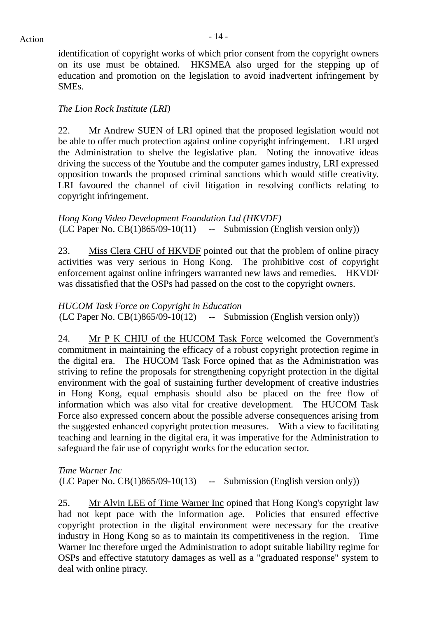identification of copyright works of which prior consent from the copyright owners on its use must be obtained. HKSMEA also urged for the stepping up of education and promotion on the legislation to avoid inadvertent infringement by SMEs.

#### *The Lion Rock Institute (LRI)*

22. Mr Andrew SUEN of LRI opined that the proposed legislation would not be able to offer much protection against online copyright infringement. LRI urged the Administration to shelve the legislative plan. Noting the innovative ideas driving the success of the Youtube and the computer games industry, LRI expressed opposition towards the proposed criminal sanctions which would stifle creativity. LRI favoured the channel of civil litigation in resolving conflicts relating to copyright infringement.

## *Hong Kong Video Development Foundation Ltd (HKVDF)*   $(LC$  Paper No.  $CB(1)865/09-10(11)$  -- Submission (English version only))

23. Miss Clera CHU of HKVDF pointed out that the problem of online piracy activities was very serious in Hong Kong. The prohibitive cost of copyright enforcement against online infringers warranted new laws and remedies. HKVDF was dissatisfied that the OSPs had passed on the cost to the copyright owners.

#### *HUCOM Task Force on Copyright in Education*   $(LC$  Paper No.  $CB(1)865/09-10(12)$  -- Submission (English version only))

24. Mr P K CHIU of the HUCOM Task Force welcomed the Government's commitment in maintaining the efficacy of a robust copyright protection regime in the digital era. The HUCOM Task Force opined that as the Administration was striving to refine the proposals for strengthening copyright protection in the digital environment with the goal of sustaining further development of creative industries in Hong Kong, equal emphasis should also be placed on the free flow of information which was also vital for creative development. The HUCOM Task Force also expressed concern about the possible adverse consequences arising from the suggested enhanced copyright protection measures. With a view to facilitating teaching and learning in the digital era, it was imperative for the Administration to safeguard the fair use of copyright works for the education sector.

#### *Time Warner Inc*

 $(LC$  Paper No.  $CB(1)865/09-10(13)$  -- Submission (English version only))

25. Mr Alvin LEE of Time Warner Inc opined that Hong Kong's copyright law had not kept pace with the information age. Policies that ensured effective copyright protection in the digital environment were necessary for the creative industry in Hong Kong so as to maintain its competitiveness in the region. Time Warner Inc therefore urged the Administration to adopt suitable liability regime for OSPs and effective statutory damages as well as a "graduated response" system to deal with online piracy.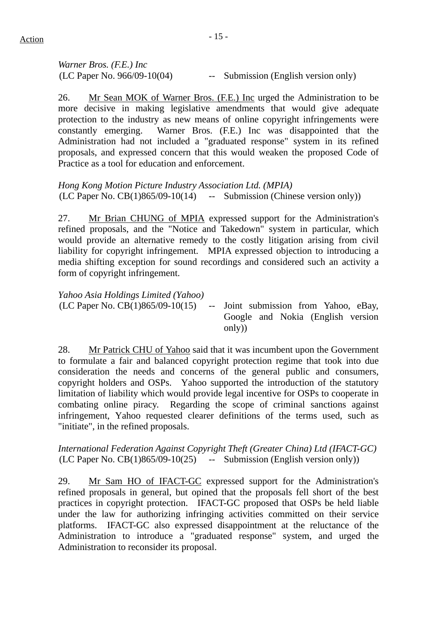*Warner Bros. (F.E.) Inc*  (LC Paper No. 966/09-10(04) -- Submission (English version only)

26. Mr Sean MOK of Warner Bros. (F.E.) Inc urged the Administration to be more decisive in making legislative amendments that would give adequate protection to the industry as new means of online copyright infringements were constantly emerging. Warner Bros. (F.E.) Inc was disappointed that the Administration had not included a "graduated response" system in its refined proposals, and expressed concern that this would weaken the proposed Code of Practice as a tool for education and enforcement.

*Hong Kong Motion Picture Industry Association Ltd. (MPIA)*   $(LC$  Paper No.  $CB(1)865/09-10(14)$  -- Submission (Chinese version only))

27. Mr Brian CHUNG of MPIA expressed support for the Administration's refined proposals, and the "Notice and Takedown" system in particular, which would provide an alternative remedy to the costly litigation arising from civil liability for copyright infringement. MPIA expressed objection to introducing a media shifting exception for sound recordings and considered such an activity a form of copyright infringement.

*Yahoo Asia Holdings Limited (Yahoo)*   $(LC$  Paper No.  $CB(1)865/09-10(15)$  -- Joint submission from Yahoo, eBay, Google and Nokia (English version only))

28. Mr Patrick CHU of Yahoo said that it was incumbent upon the Government to formulate a fair and balanced copyright protection regime that took into due consideration the needs and concerns of the general public and consumers, copyright holders and OSPs. Yahoo supported the introduction of the statutory limitation of liability which would provide legal incentive for OSPs to cooperate in combating online piracy. Regarding the scope of criminal sanctions against infringement, Yahoo requested clearer definitions of the terms used, such as "initiate", in the refined proposals.

# *International Federation Against Copyright Theft (Greater China) Ltd (IFACT-GC)*   $(LC$  Paper No.  $CB(1)865/09-10(25)$  -- Submission (English version only))

29. Mr Sam HO of IFACT-GC expressed support for the Administration's refined proposals in general, but opined that the proposals fell short of the best practices in copyright protection. IFACT-GC proposed that OSPs be held liable under the law for authorizing infringing activities committed on their service platforms. IFACT-GC also expressed disappointment at the reluctance of the Administration to introduce a "graduated response" system, and urged the Administration to reconsider its proposal.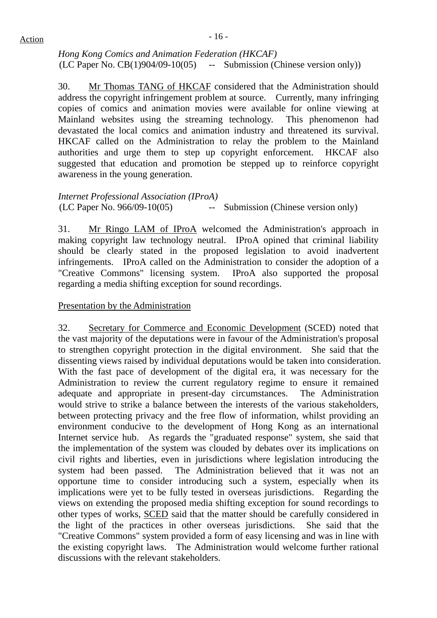*Hong Kong Comics and Animation Federation (HKCAF)*   $(LC$  Paper No.  $CB(1)904/09-10(05)$  -- Submission (Chinese version only))

30. Mr Thomas TANG of HKCAF considered that the Administration should address the copyright infringement problem at source. Currently, many infringing copies of comics and animation movies were available for online viewing at Mainland websites using the streaming technology. This phenomenon had devastated the local comics and animation industry and threatened its survival. HKCAF called on the Administration to relay the problem to the Mainland authorities and urge them to step up copyright enforcement. HKCAF also suggested that education and promotion be stepped up to reinforce copyright awareness in the young generation.

*Internet Professional Association (IProA)*  (LC Paper No. 966/09-10(05) -- Submission (Chinese version only)

31. Mr Ringo LAM of IProA welcomed the Administration's approach in making copyright law technology neutral. IProA opined that criminal liability should be clearly stated in the proposed legislation to avoid inadvertent infringements. IProA called on the Administration to consider the adoption of a "Creative Commons" licensing system. IProA also supported the proposal regarding a media shifting exception for sound recordings.

#### Presentation by the Administration

32. Secretary for Commerce and Economic Development (SCED) noted that the vast majority of the deputations were in favour of the Administration's proposal to strengthen copyright protection in the digital environment. She said that the dissenting views raised by individual deputations would be taken into consideration. With the fast pace of development of the digital era, it was necessary for the Administration to review the current regulatory regime to ensure it remained adequate and appropriate in present-day circumstances. The Administration would strive to strike a balance between the interests of the various stakeholders, between protecting privacy and the free flow of information, whilst providing an environment conducive to the development of Hong Kong as an international Internet service hub. As regards the "graduated response" system, she said that the implementation of the system was clouded by debates over its implications on civil rights and liberties, even in jurisdictions where legislation introducing the system had been passed. The Administration believed that it was not an opportune time to consider introducing such a system, especially when its implications were yet to be fully tested in overseas jurisdictions. Regarding the views on extending the proposed media shifting exception for sound recordings to other types of works, SCED said that the matter should be carefully considered in the light of the practices in other overseas jurisdictions. She said that the "Creative Commons" system provided a form of easy licensing and was in line with the existing copyright laws. The Administration would welcome further rational discussions with the relevant stakeholders.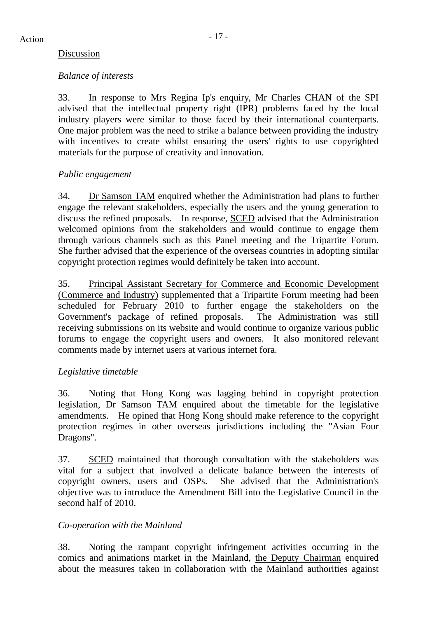#### Discussion

#### *Balance of interests*

33. In response to Mrs Regina Ip's enquiry, Mr Charles CHAN of the SPI advised that the intellectual property right (IPR) problems faced by the local industry players were similar to those faced by their international counterparts. One major problem was the need to strike a balance between providing the industry with incentives to create whilst ensuring the users' rights to use copyrighted materials for the purpose of creativity and innovation.

## *Public engagement*

34. Dr Samson TAM enquired whether the Administration had plans to further engage the relevant stakeholders, especially the users and the young generation to discuss the refined proposals. In response, SCED advised that the Administration welcomed opinions from the stakeholders and would continue to engage them through various channels such as this Panel meeting and the Tripartite Forum. She further advised that the experience of the overseas countries in adopting similar copyright protection regimes would definitely be taken into account.

35. Principal Assistant Secretary for Commerce and Economic Development (Commerce and Industry) supplemented that a Tripartite Forum meeting had been scheduled for February 2010 to further engage the stakeholders on the Government's package of refined proposals. The Administration was still receiving submissions on its website and would continue to organize various public forums to engage the copyright users and owners. It also monitored relevant comments made by internet users at various internet fora.

## *Legislative timetable*

36. Noting that Hong Kong was lagging behind in copyright protection legislation, Dr Samson TAM enquired about the timetable for the legislative amendments. He opined that Hong Kong should make reference to the copyright protection regimes in other overseas jurisdictions including the "Asian Four Dragons".

37. SCED maintained that thorough consultation with the stakeholders was vital for a subject that involved a delicate balance between the interests of copyright owners, users and OSPs. She advised that the Administration's objective was to introduce the Amendment Bill into the Legislative Council in the second half of 2010.

## *Co-operation with the Mainland*

38. Noting the rampant copyright infringement activities occurring in the comics and animations market in the Mainland, the Deputy Chairman enquired about the measures taken in collaboration with the Mainland authorities against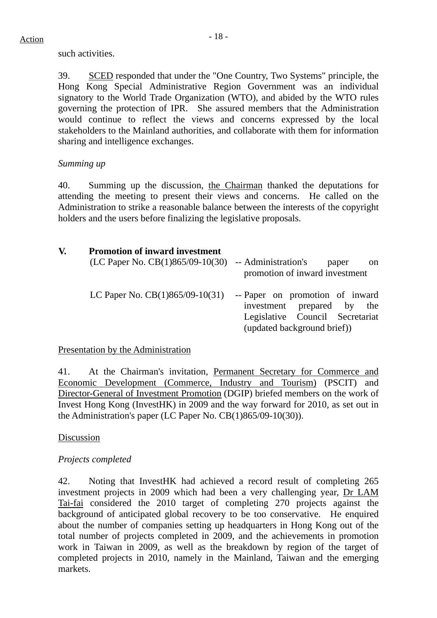such activities.

39. SCED responded that under the "One Country, Two Systems" principle, the Hong Kong Special Administrative Region Government was an individual signatory to the World Trade Organization (WTO), and abided by the WTO rules governing the protection of IPR. She assured members that the Administration would continue to reflect the views and concerns expressed by the local stakeholders to the Mainland authorities, and collaborate with them for information sharing and intelligence exchanges.

#### *Summing up*

40. Summing up the discussion, the Chairman thanked the deputations for attending the meeting to present their views and concerns. He called on the Administration to strike a reasonable balance between the interests of the copyright holders and the users before finalizing the legislative proposals.

| V. | <b>Promotion of inward investment</b><br>$(LC$ Paper No. $CB(1)865/09-10(30)$ -- Administration's | paper<br>on<br>promotion of inward investment                                                                                   |
|----|---------------------------------------------------------------------------------------------------|---------------------------------------------------------------------------------------------------------------------------------|
|    | LC Paper No. $CB(1)865/09-10(31)$                                                                 | -- Paper on promotion of inward<br>investment prepared by the<br>Legislative Council Secretariat<br>(updated background brief)) |

## Presentation by the Administration

41. At the Chairman's invitation, Permanent Secretary for Commerce and Economic Development (Commerce, Industry and Tourism) (PSCIT) and Director-General of Investment Promotion (DGIP) briefed members on the work of Invest Hong Kong (InvestHK) in 2009 and the way forward for 2010, as set out in the Administration's paper (LC Paper No. CB(1)865/09-10(30)).

## Discussion

## *Projects completed*

42. Noting that InvestHK had achieved a record result of completing 265 investment projects in 2009 which had been a very challenging year, Dr LAM Tai-fai considered the 2010 target of completing 270 projects against the background of anticipated global recovery to be too conservative. He enquired about the number of companies setting up headquarters in Hong Kong out of the total number of projects completed in 2009, and the achievements in promotion work in Taiwan in 2009, as well as the breakdown by region of the target of completed projects in 2010, namely in the Mainland, Taiwan and the emerging markets.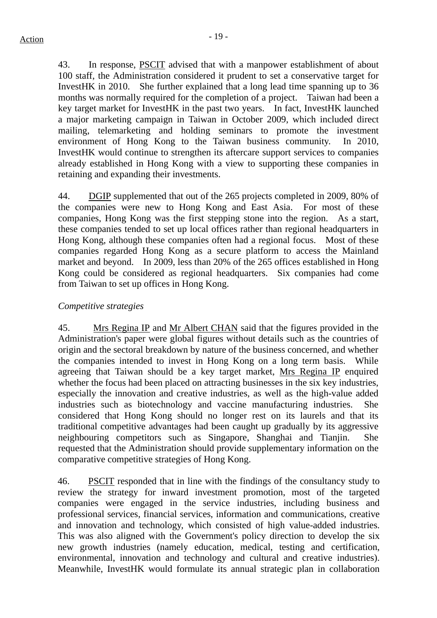43. In response, PSCIT advised that with a manpower establishment of about 100 staff, the Administration considered it prudent to set a conservative target for InvestHK in 2010. She further explained that a long lead time spanning up to 36 months was normally required for the completion of a project. Taiwan had been a key target market for InvestHK in the past two years. In fact, InvestHK launched a major marketing campaign in Taiwan in October 2009, which included direct mailing, telemarketing and holding seminars to promote the investment environment of Hong Kong to the Taiwan business community. In 2010, InvestHK would continue to strengthen its aftercare support services to companies already established in Hong Kong with a view to supporting these companies in retaining and expanding their investments.

44. DGIP supplemented that out of the 265 projects completed in 2009, 80% of the companies were new to Hong Kong and East Asia. For most of these companies, Hong Kong was the first stepping stone into the region. As a start, these companies tended to set up local offices rather than regional headquarters in Hong Kong, although these companies often had a regional focus. Most of these companies regarded Hong Kong as a secure platform to access the Mainland market and beyond. In 2009, less than 20% of the 265 offices established in Hong Kong could be considered as regional headquarters. Six companies had come from Taiwan to set up offices in Hong Kong.

#### *Competitive strategies*

45. Mrs Regina IP and Mr Albert CHAN said that the figures provided in the Administration's paper were global figures without details such as the countries of origin and the sectoral breakdown by nature of the business concerned, and whether the companies intended to invest in Hong Kong on a long term basis. While agreeing that Taiwan should be a key target market, Mrs Regina IP enquired whether the focus had been placed on attracting businesses in the six key industries, especially the innovation and creative industries, as well as the high-value added industries such as biotechnology and vaccine manufacturing industries. She considered that Hong Kong should no longer rest on its laurels and that its traditional competitive advantages had been caught up gradually by its aggressive neighbouring competitors such as Singapore, Shanghai and Tianjin. She requested that the Administration should provide supplementary information on the comparative competitive strategies of Hong Kong.

46. PSCIT responded that in line with the findings of the consultancy study to review the strategy for inward investment promotion, most of the targeted companies were engaged in the service industries, including business and professional services, financial services, information and communications, creative and innovation and technology, which consisted of high value-added industries. This was also aligned with the Government's policy direction to develop the six new growth industries (namely education, medical, testing and certification, environmental, innovation and technology and cultural and creative industries). Meanwhile, InvestHK would formulate its annual strategic plan in collaboration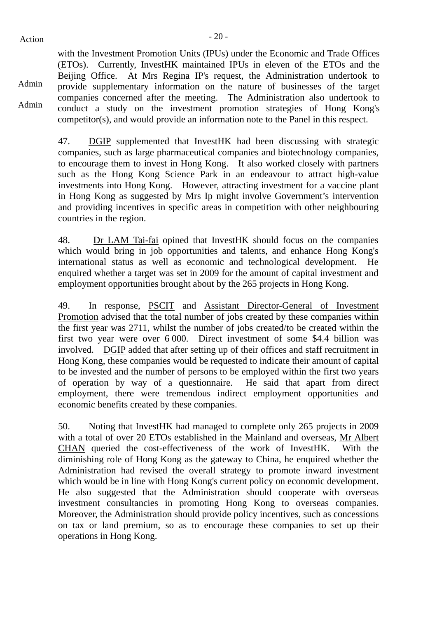$Action$ 

with the Investment Promotion Units (IPUs) under the Economic and Trade Offices (ETOs). Currently, InvestHK maintained IPUs in eleven of the ETOs and the Beijing Office. At Mrs Regina IP's request, the Administration undertook to provide supplementary information on the nature of businesses of the target companies concerned after the meeting. The Administration also undertook to conduct a study on the investment promotion strategies of Hong Kong's competitor(s), and would provide an information note to the Panel in this respect.

47. DGIP supplemented that InvestHK had been discussing with strategic companies, such as large pharmaceutical companies and biotechnology companies, to encourage them to invest in Hong Kong. It also worked closely with partners such as the Hong Kong Science Park in an endeavour to attract high-value investments into Hong Kong. However, attracting investment for a vaccine plant in Hong Kong as suggested by Mrs Ip might involve Government's intervention and providing incentives in specific areas in competition with other neighbouring countries in the region.

48. Dr LAM Tai-fai opined that InvestHK should focus on the companies which would bring in job opportunities and talents, and enhance Hong Kong's international status as well as economic and technological development. He enquired whether a target was set in 2009 for the amount of capital investment and employment opportunities brought about by the 265 projects in Hong Kong.

49. In response, PSCIT and Assistant Director-General of Investment Promotion advised that the total number of jobs created by these companies within the first year was 2711, whilst the number of jobs created/to be created within the first two year were over 6 000. Direct investment of some \$4.4 billion was involved. DGIP added that after setting up of their offices and staff recruitment in Hong Kong, these companies would be requested to indicate their amount of capital to be invested and the number of persons to be employed within the first two years of operation by way of a questionnaire. He said that apart from direct employment, there were tremendous indirect employment opportunities and economic benefits created by these companies.

50. Noting that InvestHK had managed to complete only 265 projects in 2009 with a total of over 20 ETOs established in the Mainland and overseas, Mr Albert CHAN queried the cost-effectiveness of the work of InvestHK. With the diminishing role of Hong Kong as the gateway to China, he enquired whether the Administration had revised the overall strategy to promote inward investment which would be in line with Hong Kong's current policy on economic development. He also suggested that the Administration should cooperate with overseas investment consultancies in promoting Hong Kong to overseas companies. Moreover, the Administration should provide policy incentives, such as concessions on tax or land premium, so as to encourage these companies to set up their operations in Hong Kong.

Admin

Admin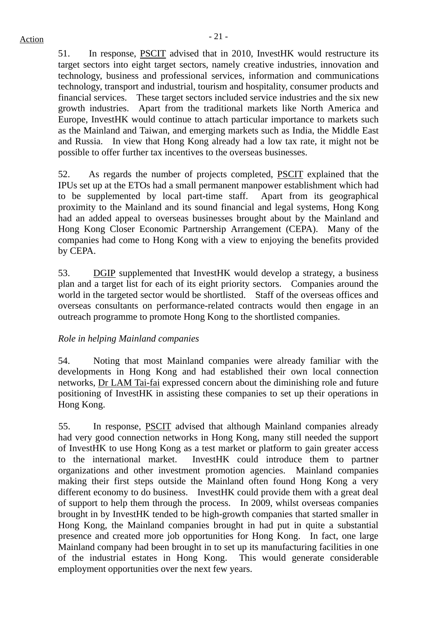51. In response, PSCIT advised that in 2010, InvestHK would restructure its target sectors into eight target sectors, namely creative industries, innovation and technology, business and professional services, information and communications technology, transport and industrial, tourism and hospitality, consumer products and financial services. These target sectors included service industries and the six new growth industries. Apart from the traditional markets like North America and Europe, InvestHK would continue to attach particular importance to markets such as the Mainland and Taiwan, and emerging markets such as India, the Middle East and Russia. In view that Hong Kong already had a low tax rate, it might not be possible to offer further tax incentives to the overseas businesses.

52. As regards the number of projects completed, PSCIT explained that the IPUs set up at the ETOs had a small permanent manpower establishment which had to be supplemented by local part-time staff. Apart from its geographical proximity to the Mainland and its sound financial and legal systems, Hong Kong had an added appeal to overseas businesses brought about by the Mainland and Hong Kong Closer Economic Partnership Arrangement (CEPA). Many of the companies had come to Hong Kong with a view to enjoying the benefits provided by CEPA.

53. DGIP supplemented that InvestHK would develop a strategy, a business plan and a target list for each of its eight priority sectors. Companies around the world in the targeted sector would be shortlisted. Staff of the overseas offices and overseas consultants on performance-related contracts would then engage in an outreach programme to promote Hong Kong to the shortlisted companies.

## *Role in helping Mainland companies*

54. Noting that most Mainland companies were already familiar with the developments in Hong Kong and had established their own local connection networks, Dr LAM Tai-fai expressed concern about the diminishing role and future positioning of InvestHK in assisting these companies to set up their operations in Hong Kong.

55. In response, PSCIT advised that although Mainland companies already had very good connection networks in Hong Kong, many still needed the support of InvestHK to use Hong Kong as a test market or platform to gain greater access to the international market. InvestHK could introduce them to partner organizations and other investment promotion agencies. Mainland companies making their first steps outside the Mainland often found Hong Kong a very different economy to do business. InvestHK could provide them with a great deal of support to help them through the process. In 2009, whilst overseas companies brought in by InvestHK tended to be high-growth companies that started smaller in Hong Kong, the Mainland companies brought in had put in quite a substantial presence and created more job opportunities for Hong Kong. In fact, one large Mainland company had been brought in to set up its manufacturing facilities in one of the industrial estates in Hong Kong. This would generate considerable employment opportunities over the next few years.